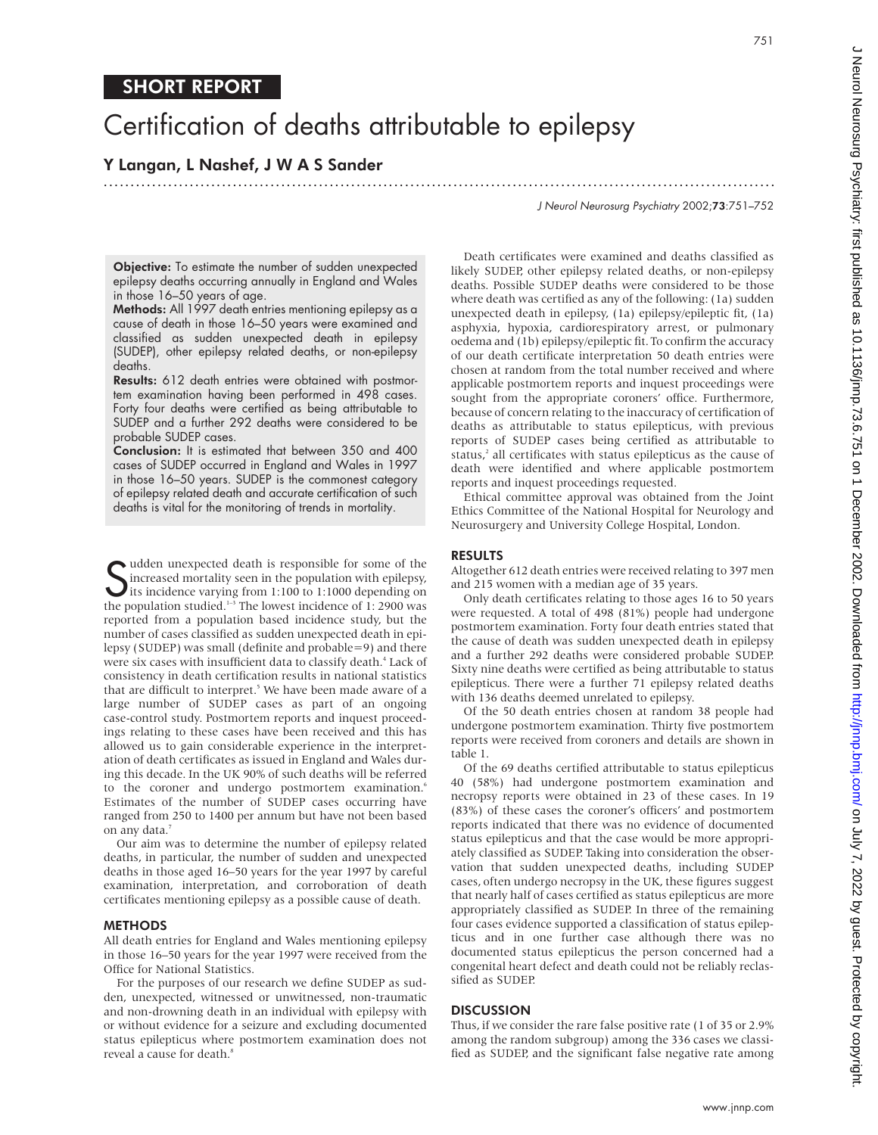# Certification of deaths attributable to epilepsy

# Y Langan, L Nashef, J W A S Sander

.............................................................................................................................

J Neurol Neurosurg Psychiatry 2002;73:751–752

**Objective:** To estimate the number of sudden unexpected epilepsy deaths occurring annually in England and Wales in those 16–50 years of age.

Methods: All 1997 death entries mentioning epilepsy as a cause of death in those 16–50 years were examined and classified as sudden unexpected death in epilepsy (SUDEP), other epilepsy related deaths, or non-epilepsy deaths.

Results: 612 death entries were obtained with postmortem examination having been performed in 498 cases. Forty four deaths were certified as being attributable to SUDEP and a further 292 deaths were considered to be probable SUDEP cases.

Conclusion: It is estimated that between 350 and 400 cases of SUDEP occurred in England and Wales in 1997 in those 16–50 years. SUDEP is the commonest category of epilepsy related death and accurate certification of such deaths is vital for the monitoring of trends in mortality.

**S** udden unexpected death is responsible for some of the increased mortality seen in the population with epilepsy, its incidence varying from 1:100 to 1:1000 depending on the population studied  $\frac{1}{2}$ . The lowest inci increased mortality seen in the population with epilepsy, its incidence varying from 1:100 to 1:1000 depending on the population studied.<sup>1-3</sup> The lowest incidence of 1: 2900 was reported from a population based incidence study, but the number of cases classified as sudden unexpected death in epilepsy (SUDEP) was small (definite and probable=9) and there were six cases with insufficient data to classify death.<sup>4</sup> Lack of consistency in death certification results in national statistics that are difficult to interpret.<sup>5</sup> We have been made aware of a large number of SUDEP cases as part of an ongoing case-control study. Postmortem reports and inquest proceedings relating to these cases have been received and this has allowed us to gain considerable experience in the interpretation of death certificates as issued in England and Wales during this decade. In the UK 90% of such deaths will be referred to the coroner and undergo postmortem examination.<sup>6</sup> Estimates of the number of SUDEP cases occurring have ranged from 250 to 1400 per annum but have not been based on any data.<sup>7</sup>

Our aim was to determine the number of epilepsy related deaths, in particular, the number of sudden and unexpected deaths in those aged 16–50 years for the year 1997 by careful examination, interpretation, and corroboration of death certificates mentioning epilepsy as a possible cause of death.

#### **METHODS**

All death entries for England and Wales mentioning epilepsy in those 16–50 years for the year 1997 were received from the Office for National Statistics.

For the purposes of our research we define SUDEP as sudden, unexpected, witnessed or unwitnessed, non-traumatic and non-drowning death in an individual with epilepsy with or without evidence for a seizure and excluding documented status epilepticus where postmortem examination does not reveal a cause for death.<sup>8</sup>

Death certificates were examined and deaths classified as likely SUDEP, other epilepsy related deaths, or non-epilepsy deaths. Possible SUDEP deaths were considered to be those where death was certified as any of the following: (1a) sudden unexpected death in epilepsy, (1a) epilepsy/epileptic fit, (1a) asphyxia, hypoxia, cardiorespiratory arrest, or pulmonary oedema and (1b) epilepsy/epileptic fit. To confirm the accuracy of our death certificate interpretation 50 death entries were chosen at random from the total number received and where applicable postmortem reports and inquest proceedings were sought from the appropriate coroners' office. Furthermore, because of concern relating to the inaccuracy of certification of deaths as attributable to status epilepticus, with previous reports of SUDEP cases being certified as attributable to status,<sup>2</sup> all certificates with status epilepticus as the cause of death were identified and where applicable postmortem reports and inquest proceedings requested.

Ethical committee approval was obtained from the Joint Ethics Committee of the National Hospital for Neurology and Neurosurgery and University College Hospital, London.

### RESULTS

Altogether 612 death entries were received relating to 397 men and 215 women with a median age of 35 years.

Only death certificates relating to those ages 16 to 50 years were requested. A total of 498 (81%) people had undergone postmortem examination. Forty four death entries stated that the cause of death was sudden unexpected death in epilepsy and a further 292 deaths were considered probable SUDEP. Sixty nine deaths were certified as being attributable to status epilepticus. There were a further 71 epilepsy related deaths with 136 deaths deemed unrelated to epilepsy.

Of the 50 death entries chosen at random 38 people had undergone postmortem examination. Thirty five postmortem reports were received from coroners and details are shown in table 1.

Of the 69 deaths certified attributable to status epilepticus 40 (58%) had undergone postmortem examination and necropsy reports were obtained in 23 of these cases. In 19 (83%) of these cases the coroner's officers' and postmortem reports indicated that there was no evidence of documented status epilepticus and that the case would be more appropriately classified as SUDEP. Taking into consideration the observation that sudden unexpected deaths, including SUDEP cases, often undergo necropsy in the UK, these figures suggest that nearly half of cases certified as status epilepticus are more appropriately classified as SUDEP. In three of the remaining four cases evidence supported a classification of status epilepticus and in one further case although there was no documented status epilepticus the person concerned had a congenital heart defect and death could not be reliably reclassified as SUDEP.

## **DISCUSSION**

Thus, if we consider the rare false positive rate (1 of 35 or 2.9% among the random subgroup) among the 336 cases we classified as SUDEP, and the significant false negative rate among

751